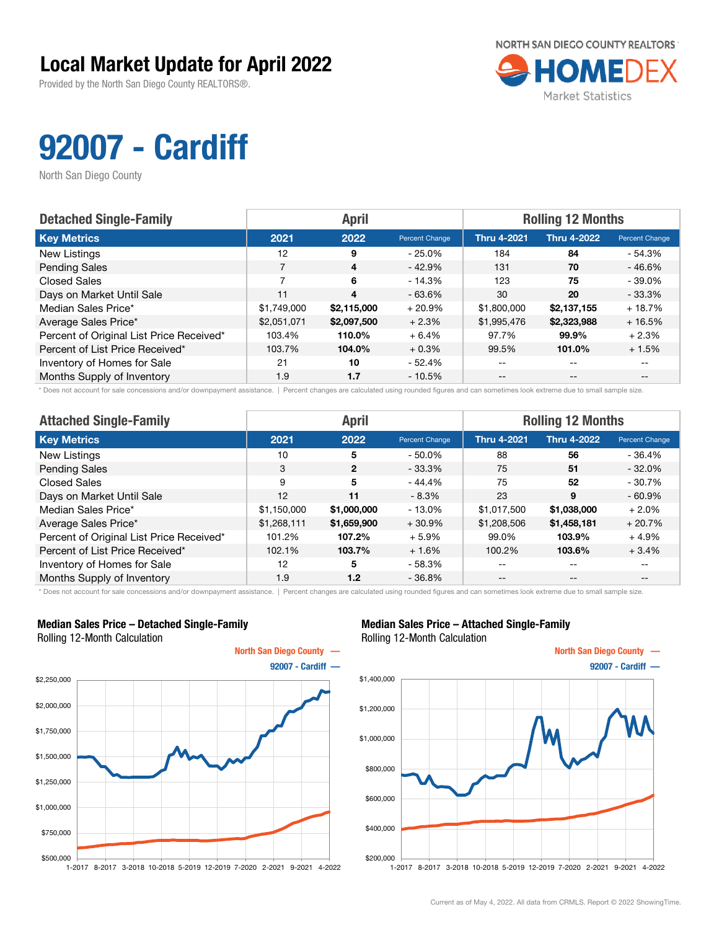Provided by the North San Diego County REALTORS®.



## 92007 - Cardiff

North San Diego County

| <b>Detached Single-Family</b>            |             | <b>April</b> |                | <b>Rolling 12 Months</b> |                    |                |  |
|------------------------------------------|-------------|--------------|----------------|--------------------------|--------------------|----------------|--|
| <b>Key Metrics</b>                       | 2021        | 2022         | Percent Change | <b>Thru 4-2021</b>       | <b>Thru 4-2022</b> | Percent Change |  |
| New Listings                             | 12          | 9            | $-25.0\%$      | 184                      | 84                 | - 54.3%        |  |
| <b>Pending Sales</b>                     |             | 4            | $-42.9%$       | 131                      | 70                 | $-46.6%$       |  |
| <b>Closed Sales</b>                      | 7           | 6            | $-14.3%$       | 123                      | 75                 | $-39.0\%$      |  |
| Days on Market Until Sale                | 11          | 4            | $-63.6%$       | 30                       | 20                 | $-33.3%$       |  |
| Median Sales Price*                      | \$1,749,000 | \$2,115,000  | $+20.9%$       | \$1,800,000              | \$2,137,155        | $+18.7%$       |  |
| Average Sales Price*                     | \$2,051,071 | \$2,097,500  | $+2.3%$        | \$1,995,476              | \$2,323,988        | $+16.5%$       |  |
| Percent of Original List Price Received* | 103.4%      | 110.0%       | $+6.4%$        | 97.7%                    | 99.9%              | $+2.3%$        |  |
| Percent of List Price Received*          | 103.7%      | 104.0%       | $+0.3%$        | 99.5%                    | 101.0%             | $+1.5%$        |  |
| Inventory of Homes for Sale              | 21          | 10           | $-52.4%$       | $- -$                    | $-$                | $- -$          |  |
| Months Supply of Inventory               | 1.9         | 1.7          | $-10.5%$       | $- -$                    | $- -$              |                |  |

\* Does not account for sale concessions and/or downpayment assistance. | Percent changes are calculated using rounded figures and can sometimes look extreme due to small sample size.

| <b>Attached Single-Family</b>            |             | <b>April</b>   |                | <b>Rolling 12 Months</b> |                    |                |  |
|------------------------------------------|-------------|----------------|----------------|--------------------------|--------------------|----------------|--|
| <b>Key Metrics</b>                       | 2021        | 2022           | Percent Change | <b>Thru 4-2021</b>       | <b>Thru 4-2022</b> | Percent Change |  |
| <b>New Listings</b>                      | 10          | 5              | $-50.0\%$      | 88                       | 56                 | $-36.4%$       |  |
| <b>Pending Sales</b>                     | 3           | $\overline{2}$ | $-33.3%$       | 75                       | 51                 | $-32.0%$       |  |
| <b>Closed Sales</b>                      | 9           | 5              | $-44.4%$       | 75                       | 52                 | $-30.7%$       |  |
| Days on Market Until Sale                | 12          | 11             | $-8.3\%$       | 23                       | 9                  | $-60.9%$       |  |
| Median Sales Price*                      | \$1,150,000 | \$1,000,000    | $-13.0\%$      | \$1,017,500              | \$1,038,000        | $+2.0\%$       |  |
| Average Sales Price*                     | \$1,268,111 | \$1,659,900    | $+30.9%$       | \$1,208,506              | \$1,458,181        | $+20.7%$       |  |
| Percent of Original List Price Received* | 101.2%      | 107.2%         | $+5.9%$        | 99.0%                    | 103.9%             | $+4.9%$        |  |
| Percent of List Price Received*          | 102.1%      | 103.7%         | $+1.6%$        | 100.2%                   | 103.6%             | $+3.4%$        |  |
| Inventory of Homes for Sale              | 12          | 5              | $-58.3%$       | --                       | $- -$              | $- -$          |  |
| Months Supply of Inventory               | 1.9         | 1.2            | $-36.8%$       | $- -$                    | $\qquad \qquad -$  | $- -$          |  |

\* Does not account for sale concessions and/or downpayment assistance. | Percent changes are calculated using rounded figures and can sometimes look extreme due to small sample size.

#### Median Sales Price – Detached Single-Family Rolling 12-Month Calculation



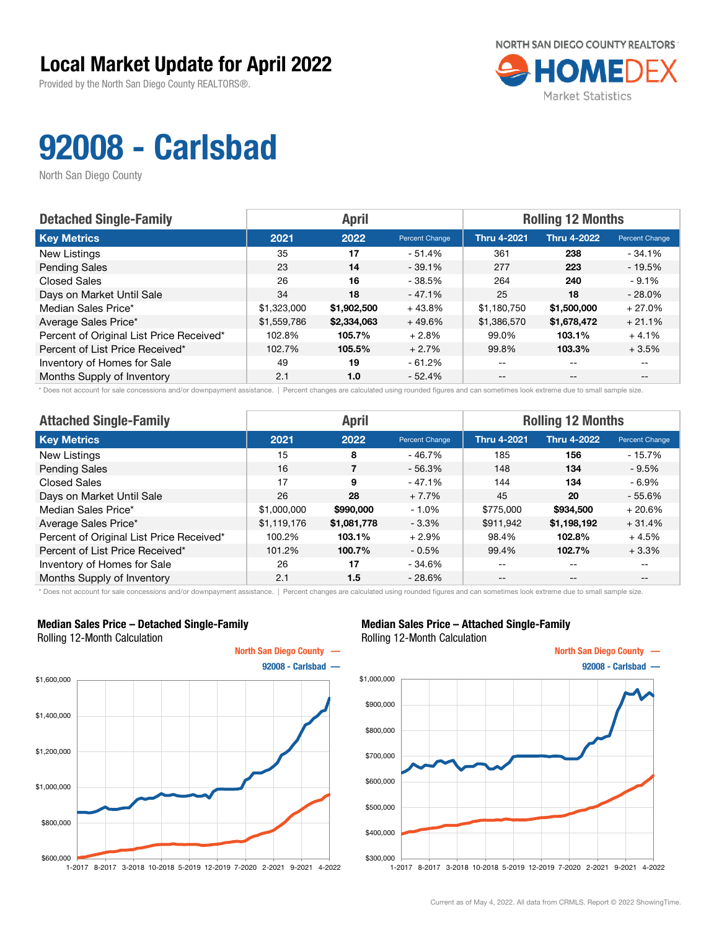Provided by the North San Diego County REALTORS®.



# 92008 - Carlsbad

North San Diego County

| <b>Detached Single-Family</b>            |             | <b>April</b> |                | <b>Rolling 12 Months</b> |                    |                       |  |
|------------------------------------------|-------------|--------------|----------------|--------------------------|--------------------|-----------------------|--|
| <b>Key Metrics</b>                       | 2021        | 2022         | Percent Change | <b>Thru 4-2021</b>       | <b>Thru 4-2022</b> | <b>Percent Change</b> |  |
| New Listings                             | 35          | 17           | - 51.4%        | 361                      | 238                | $-34.1%$              |  |
| <b>Pending Sales</b>                     | 23          | 14           | $-39.1%$       | 277                      | 223                | $-19.5%$              |  |
| <b>Closed Sales</b>                      | 26          | 16           | $-38.5%$       | 264                      | 240                | $-9.1%$               |  |
| Days on Market Until Sale                | 34          | 18           | $-47.1%$       | 25                       | 18                 | $-28.0%$              |  |
| Median Sales Price*                      | \$1,323,000 | \$1,902,500  | $+43.8%$       | \$1,180,750              | \$1,500,000        | $+27.0%$              |  |
| Average Sales Price*                     | \$1,559,786 | \$2,334,063  | $+49.6%$       | \$1,386,570              | \$1,678,472        | $+21.1%$              |  |
| Percent of Original List Price Received* | 102.8%      | 105.7%       | $+2.8%$        | 99.0%                    | 103.1%             | $+4.1%$               |  |
| Percent of List Price Received*          | 102.7%      | 105.5%       | $+2.7%$        | 99.8%                    | 103.3%             | $+3.5%$               |  |
| Inventory of Homes for Sale              | 49          | 19           | $-61.2%$       | --                       | --                 |                       |  |
| Months Supply of Inventory               | 2.1         | 1.0          | $-52.4%$       | $- -$                    | $-$                | $- -$                 |  |

\* Does not account for sale concessions and/or downpayment assistance. | Percent changes are calculated using rounded figures and can sometimes look extreme due to small sample size.

| <b>Attached Single-Family</b>            |             | <b>April</b> |                | <b>Rolling 12 Months</b> |                    |                |  |
|------------------------------------------|-------------|--------------|----------------|--------------------------|--------------------|----------------|--|
| <b>Key Metrics</b>                       | 2021        | 2022         | Percent Change | <b>Thru 4-2021</b>       | <b>Thru 4-2022</b> | Percent Change |  |
| New Listings                             | 15          | 8            | $-46.7%$       | 185                      | 156                | $-15.7\%$      |  |
| <b>Pending Sales</b>                     | 16          |              | $-56.3%$       | 148                      | 134                | $-9.5\%$       |  |
| <b>Closed Sales</b>                      | 17          | 9            | $-47.1%$       | 144                      | 134                | $-6.9\%$       |  |
| Days on Market Until Sale                | 26          | 28           | $+7.7%$        | 45                       | 20                 | $-55.6%$       |  |
| Median Sales Price*                      | \$1,000,000 | \$990,000    | $-1.0%$        | \$775,000                | \$934,500          | $+20.6%$       |  |
| Average Sales Price*                     | \$1,119,176 | \$1,081,778  | $-3.3\%$       | \$911,942                | \$1,198,192        | $+31.4%$       |  |
| Percent of Original List Price Received* | 100.2%      | 103.1%       | $+2.9%$        | 98.4%                    | 102.8%             | $+4.5%$        |  |
| Percent of List Price Received*          | 101.2%      | 100.7%       | $-0.5\%$       | 99.4%                    | 102.7%             | $+3.3%$        |  |
| Inventory of Homes for Sale              | 26          | 17           | $-34.6%$       | --                       | $- -$              | $- -$          |  |
| Months Supply of Inventory               | 2.1         | 1.5          | $-28.6%$       | $- -$                    | $- -$              | --             |  |

\* Does not account for sale concessions and/or downpayment assistance. | Percent changes are calculated using rounded figures and can sometimes look extreme due to small sample size.

### Median Sales Price – Detached Single-Family Rolling 12-Month Calculation



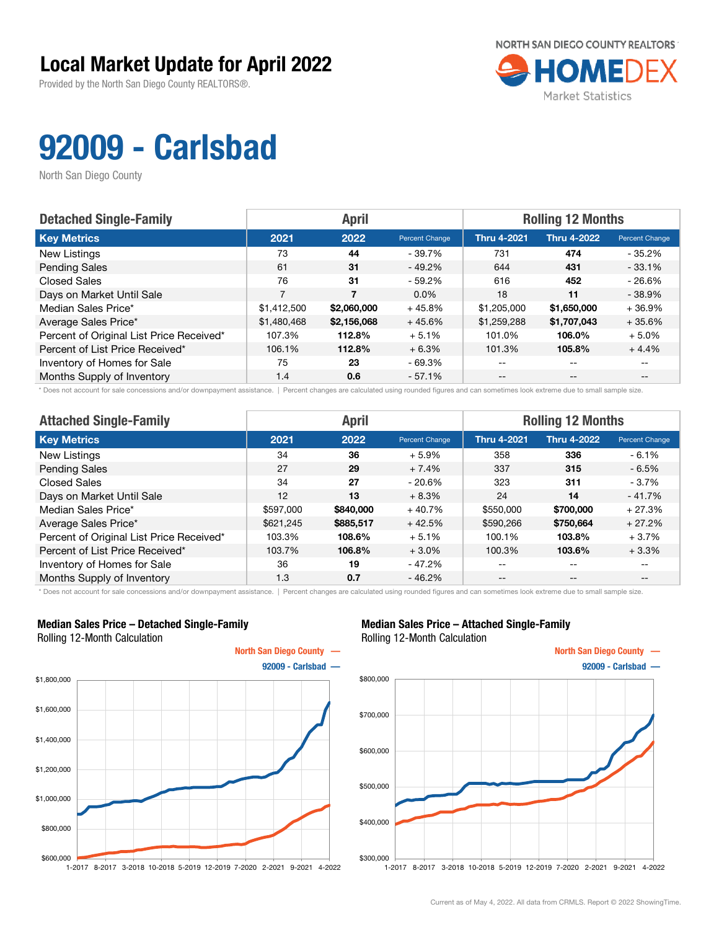Provided by the North San Diego County REALTORS®.



# 92009 - Carlsbad

North San Diego County

| <b>Detached Single-Family</b>            |             | <b>April</b> |                | <b>Rolling 12 Months</b> |                    |                       |  |
|------------------------------------------|-------------|--------------|----------------|--------------------------|--------------------|-----------------------|--|
| <b>Key Metrics</b>                       | 2021        | 2022         | Percent Change | <b>Thru 4-2021</b>       | <b>Thru 4-2022</b> | <b>Percent Change</b> |  |
| New Listings                             | 73          | 44           | $-39.7\%$      | 731                      | 474                | $-35.2%$              |  |
| <b>Pending Sales</b>                     | 61          | 31           | $-49.2\%$      | 644                      | 431                | $-33.1%$              |  |
| <b>Closed Sales</b>                      | 76          | 31           | $-59.2\%$      | 616                      | 452                | $-26.6%$              |  |
| Days on Market Until Sale                | 7           | 7            | $0.0\%$        | 18                       | 11                 | $-38.9%$              |  |
| Median Sales Price*                      | \$1,412,500 | \$2,060,000  | $+45.8%$       | \$1,205,000              | \$1,650,000        | $+36.9%$              |  |
| Average Sales Price*                     | \$1,480,468 | \$2,156,068  | $+45.6%$       | \$1,259,288              | \$1,707,043        | $+35.6%$              |  |
| Percent of Original List Price Received* | 107.3%      | 112.8%       | $+5.1%$        | 101.0%                   | 106.0%             | $+5.0\%$              |  |
| Percent of List Price Received*          | 106.1%      | 112.8%       | $+6.3%$        | 101.3%                   | 105.8%             | $+4.4%$               |  |
| Inventory of Homes for Sale              | 75          | 23           | - 69.3%        | --                       | --                 |                       |  |
| Months Supply of Inventory               | 1.4         | 0.6          | $-57.1%$       | $- -$                    | $-$                | $- -$                 |  |

\* Does not account for sale concessions and/or downpayment assistance. | Percent changes are calculated using rounded figures and can sometimes look extreme due to small sample size.

| <b>Attached Single-Family</b>            |           | <b>April</b> |                       | <b>Rolling 12 Months</b> |                    |                |  |
|------------------------------------------|-----------|--------------|-----------------------|--------------------------|--------------------|----------------|--|
| <b>Key Metrics</b>                       | 2021      | 2022         | <b>Percent Change</b> | <b>Thru 4-2021</b>       | <b>Thru 4-2022</b> | Percent Change |  |
| New Listings                             | 34        | 36           | $+5.9%$               | 358                      | 336                | $-6.1%$        |  |
| <b>Pending Sales</b>                     | 27        | 29           | $+7.4%$               | 337                      | 315                | $-6.5%$        |  |
| Closed Sales                             | 34        | 27           | $-20.6%$              | 323                      | 311                | - 3.7%         |  |
| Days on Market Until Sale                | 12        | 13           | $+8.3%$               | 24                       | 14                 | $-41.7%$       |  |
| Median Sales Price*                      | \$597,000 | \$840,000    | $+40.7%$              | \$550,000                | \$700,000          | $+27.3%$       |  |
| Average Sales Price*                     | \$621,245 | \$885,517    | $+42.5%$              | \$590,266                | \$750,664          | $+27.2%$       |  |
| Percent of Original List Price Received* | 103.3%    | 108.6%       | $+5.1%$               | 100.1%                   | 103.8%             | $+3.7%$        |  |
| Percent of List Price Received*          | 103.7%    | 106.8%       | $+3.0%$               | 100.3%                   | 103.6%             | $+3.3%$        |  |
| Inventory of Homes for Sale              | 36        | 19           | $-47.2%$              | --                       | $- -$              | $- -$          |  |
| Months Supply of Inventory               | 1.3       | 0.7          | $-46.2%$              | --                       | $\qquad \qquad -$  | $- -$          |  |

\* Does not account for sale concessions and/or downpayment assistance. | Percent changes are calculated using rounded figures and can sometimes look extreme due to small sample size.

#### Median Sales Price – Detached Single-Family Rolling 12-Month Calculation



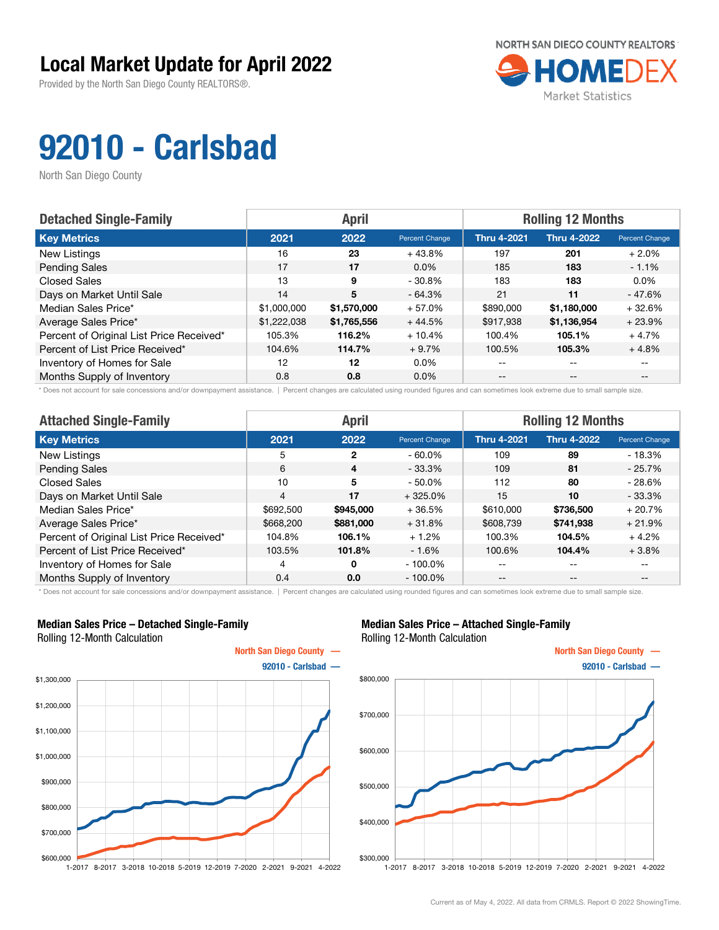Provided by the North San Diego County REALTORS®.



# 92010 - Carlsbad

North San Diego County

| <b>Detached Single-Family</b>            |             | <b>April</b> |                | <b>Rolling 12 Months</b> |                    |                |  |
|------------------------------------------|-------------|--------------|----------------|--------------------------|--------------------|----------------|--|
| <b>Key Metrics</b>                       | 2021        | 2022         | Percent Change | <b>Thru 4-2021</b>       | <b>Thru 4-2022</b> | Percent Change |  |
| New Listings                             | 16          | 23           | $+43.8%$       | 197                      | 201                | $+2.0%$        |  |
| <b>Pending Sales</b>                     | 17          | 17           | $0.0\%$        | 185                      | 183                | $-1.1%$        |  |
| <b>Closed Sales</b>                      | 13          | 9            | $-30.8\%$      | 183                      | 183                | $0.0\%$        |  |
| Days on Market Until Sale                | 14          | 5            | $-64.3%$       | 21                       | 11                 | $-47.6%$       |  |
| Median Sales Price*                      | \$1,000,000 | \$1,570,000  | $+57.0%$       | \$890,000                | \$1,180,000        | $+32.6%$       |  |
| Average Sales Price*                     | \$1,222,038 | \$1,765,556  | $+44.5%$       | \$917,938                | \$1,136,954        | $+23.9%$       |  |
| Percent of Original List Price Received* | 105.3%      | 116.2%       | $+10.4%$       | 100.4%                   | 105.1%             | $+4.7%$        |  |
| Percent of List Price Received*          | 104.6%      | 114.7%       | $+9.7%$        | 100.5%                   | 105.3%             | $+4.8%$        |  |
| Inventory of Homes for Sale              | 12          | 12           | $0.0\%$        | $- -$                    | $-$                |                |  |
| Months Supply of Inventory               | 0.8         | 0.8          | $0.0\%$        | $- -$                    | $- -$              |                |  |

\* Does not account for sale concessions and/or downpayment assistance. | Percent changes are calculated using rounded figures and can sometimes look extreme due to small sample size.

| <b>Attached Single-Family</b>            |                | <b>April</b> |                | <b>Rolling 12 Months</b> |                    |                |  |
|------------------------------------------|----------------|--------------|----------------|--------------------------|--------------------|----------------|--|
| <b>Key Metrics</b>                       | 2021           | 2022         | Percent Change | <b>Thru 4-2021</b>       | <b>Thru 4-2022</b> | Percent Change |  |
| New Listings                             | 5              | 2            | $-60.0\%$      | 109                      | 89                 | $-18.3%$       |  |
| <b>Pending Sales</b>                     | 6              | 4            | $-33.3%$       | 109                      | 81                 | $-25.7%$       |  |
| Closed Sales                             | 10             | 5            | $-50.0\%$      | 112                      | 80                 | $-28.6%$       |  |
| Days on Market Until Sale                | $\overline{4}$ | 17           | $+325.0%$      | 15                       | 10                 | $-33.3%$       |  |
| Median Sales Price*                      | \$692,500      | \$945,000    | $+36.5%$       | \$610,000                | \$736,500          | $+20.7%$       |  |
| Average Sales Price*                     | \$668,200      | \$881,000    | $+31.8%$       | \$608,739                | \$741,938          | $+21.9%$       |  |
| Percent of Original List Price Received* | 104.8%         | 106.1%       | $+1.2%$        | 100.3%                   | 104.5%             | $+4.2%$        |  |
| Percent of List Price Received*          | 103.5%         | 101.8%       | $-1.6%$        | 100.6%                   | 104.4%             | $+3.8%$        |  |
| Inventory of Homes for Sale              | 4              | $\Omega$     | $-100.0\%$     | --                       | $- -$              | $- -$          |  |
| Months Supply of Inventory               | 0.4            | 0.0          | $-100.0\%$     | $- -$                    | $- -$              | $- -$          |  |

\* Does not account for sale concessions and/or downpayment assistance. | Percent changes are calculated using rounded figures and can sometimes look extreme due to small sample size.

### Median Sales Price – Detached Single-Family Rolling 12-Month Calculation



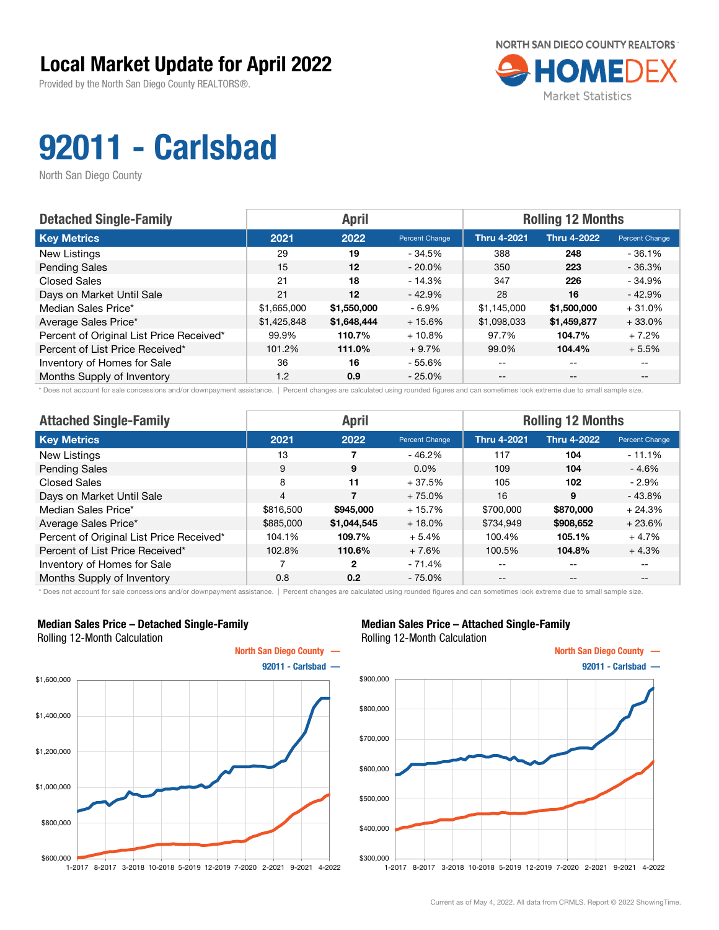Provided by the North San Diego County REALTORS®.



# 92011 - Carlsbad

North San Diego County

| <b>Detached Single-Family</b>            |             | <b>April</b> |                | <b>Rolling 12 Months</b> |                    |                |  |
|------------------------------------------|-------------|--------------|----------------|--------------------------|--------------------|----------------|--|
| <b>Key Metrics</b>                       | 2021        | 2022         | Percent Change | <b>Thru 4-2021</b>       | <b>Thru 4-2022</b> | Percent Change |  |
| New Listings                             | 29          | 19           | - 34.5%        | 388                      | 248                | $-36.1%$       |  |
| <b>Pending Sales</b>                     | 15          | 12           | $-20.0\%$      | 350                      | 223                | $-36.3%$       |  |
| <b>Closed Sales</b>                      | 21          | 18           | $-14.3%$       | 347                      | 226                | $-34.9%$       |  |
| Days on Market Until Sale                | 21          | 12           | $-42.9%$       | 28                       | 16                 | $-42.9%$       |  |
| Median Sales Price*                      | \$1,665,000 | \$1,550,000  | $-6.9\%$       | \$1,145,000              | \$1,500,000        | $+31.0%$       |  |
| Average Sales Price*                     | \$1,425,848 | \$1,648,444  | $+15.6%$       | \$1,098,033              | \$1,459,877        | $+33.0%$       |  |
| Percent of Original List Price Received* | 99.9%       | 110.7%       | $+10.8%$       | 97.7%                    | 104.7%             | $+7.2%$        |  |
| Percent of List Price Received*          | 101.2%      | 111.0%       | $+9.7%$        | 99.0%                    | 104.4%             | $+5.5%$        |  |
| Inventory of Homes for Sale              | 36          | 16           | - 55.6%        | $- -$                    | $\qquad \qquad -$  |                |  |
| Months Supply of Inventory               | 1.2         | 0.9          | $-25.0%$       | $- -$                    | $- -$              |                |  |

\* Does not account for sale concessions and/or downpayment assistance. | Percent changes are calculated using rounded figures and can sometimes look extreme due to small sample size.

| <b>Attached Single-Family</b>            |                | <b>April</b> |                | <b>Rolling 12 Months</b> |                    |                |  |
|------------------------------------------|----------------|--------------|----------------|--------------------------|--------------------|----------------|--|
| <b>Key Metrics</b>                       | 2021           | 2022         | Percent Change | <b>Thru 4-2021</b>       | <b>Thru 4-2022</b> | Percent Change |  |
| New Listings                             | 13             |              | $-46.2%$       | 117                      | 104                | $-11.1%$       |  |
| <b>Pending Sales</b>                     | 9              | 9            | $0.0\%$        | 109                      | 104                | - 4.6%         |  |
| Closed Sales                             | 8              | 11           | $+37.5%$       | 105                      | 102                | - 2.9%         |  |
| Days on Market Until Sale                | $\overline{4}$ |              | $+75.0%$       | 16                       | 9                  | $-43.8%$       |  |
| Median Sales Price*                      | \$816,500      | \$945,000    | $+15.7%$       | \$700,000                | \$870,000          | $+24.3%$       |  |
| Average Sales Price*                     | \$885,000      | \$1,044,545  | $+18.0\%$      | \$734,949                | \$908,652          | $+23.6%$       |  |
| Percent of Original List Price Received* | 104.1%         | 109.7%       | $+5.4%$        | 100.4%                   | 105.1%             | $+4.7%$        |  |
| Percent of List Price Received*          | 102.8%         | 110.6%       | $+7.6%$        | 100.5%                   | 104.8%             | $+4.3%$        |  |
| Inventory of Homes for Sale              | 7              | 2            | $-71.4%$       | --                       | $- -$              | $- -$          |  |
| Months Supply of Inventory               | 0.8            | 0.2          | $-75.0%$       | $- -$                    | $- -$              | $- -$          |  |

\* Does not account for sale concessions and/or downpayment assistance. | Percent changes are calculated using rounded figures and can sometimes look extreme due to small sample size.

#### Median Sales Price – Detached Single-Family Rolling 12-Month Calculation



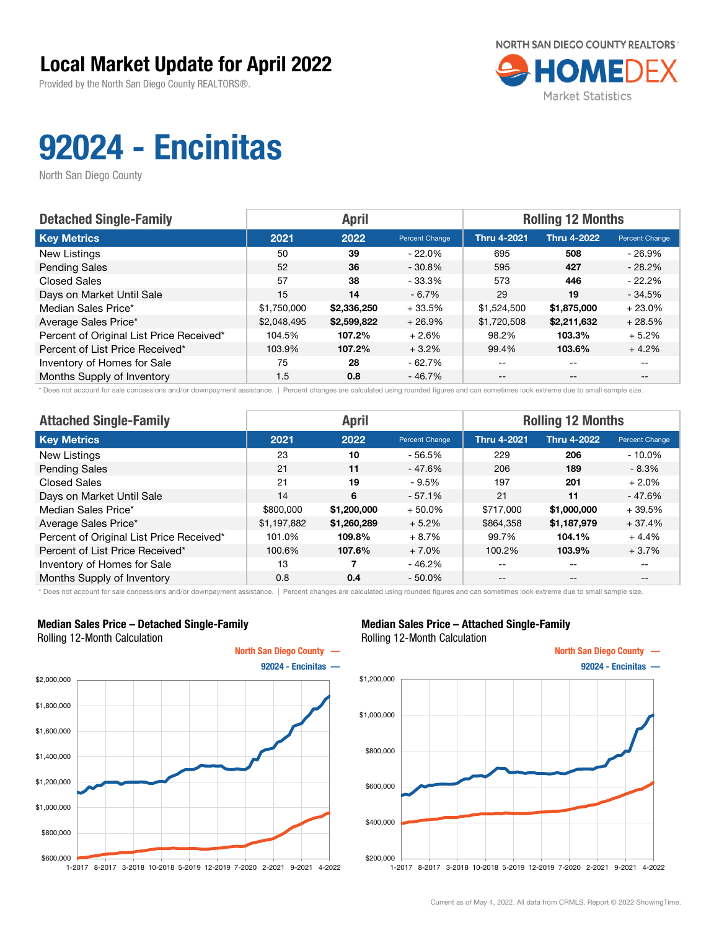Provided by the North San Diego County REALTORS®.



# 92024 - Encinitas

North San Diego County

| <b>Detached Single-Family</b>            |             | <b>April</b> |                | <b>Rolling 12 Months</b> |                    |                |  |
|------------------------------------------|-------------|--------------|----------------|--------------------------|--------------------|----------------|--|
| <b>Key Metrics</b>                       | 2021        | 2022         | Percent Change | <b>Thru 4-2021</b>       | <b>Thru 4-2022</b> | Percent Change |  |
| New Listings                             | 50          | 39           | $-22.0\%$      | 695                      | 508                | $-26.9\%$      |  |
| <b>Pending Sales</b>                     | 52          | 36           | $-30.8%$       | 595                      | 427                | $-28.2%$       |  |
| <b>Closed Sales</b>                      | 57          | 38           | $-33.3%$       | 573                      | 446                | $-22.2%$       |  |
| Days on Market Until Sale                | 15          | 14           | $-6.7%$        | 29                       | 19                 | $-34.5%$       |  |
| Median Sales Price*                      | \$1,750,000 | \$2,336,250  | $+33.5%$       | \$1,524,500              | \$1,875,000        | $+23.0%$       |  |
| Average Sales Price*                     | \$2,048,495 | \$2,599,822  | $+26.9%$       | \$1,720,508              | \$2,211,632        | $+28.5%$       |  |
| Percent of Original List Price Received* | 104.5%      | 107.2%       | $+2.6%$        | 98.2%                    | 103.3%             | $+5.2%$        |  |
| Percent of List Price Received*          | 103.9%      | 107.2%       | $+3.2%$        | 99.4%                    | 103.6%             | $+4.2%$        |  |
| Inventory of Homes for Sale              | 75          | 28           | $-62.7%$       | $- -$                    | $- -$              |                |  |
| Months Supply of Inventory               | 1.5         | 0.8          | $-46.7%$       | $- -$                    | $- -$              |                |  |

\* Does not account for sale concessions and/or downpayment assistance. | Percent changes are calculated using rounded figures and can sometimes look extreme due to small sample size.

| <b>Attached Single-Family</b>            |             | <b>April</b> |                | <b>Rolling 12 Months</b> |                    |                |  |
|------------------------------------------|-------------|--------------|----------------|--------------------------|--------------------|----------------|--|
| <b>Key Metrics</b>                       | 2021        | 2022         | Percent Change | <b>Thru 4-2021</b>       | <b>Thru 4-2022</b> | Percent Change |  |
| New Listings                             | 23          | 10           | $-56.5%$       | 229                      | 206                | $-10.0\%$      |  |
| <b>Pending Sales</b>                     | 21          | 11           | $-47.6%$       | 206                      | 189                | $-8.3\%$       |  |
| <b>Closed Sales</b>                      | 21          | 19           | - 9.5%         | 197                      | 201                | $+2.0\%$       |  |
| Days on Market Until Sale                | 14          | 6            | $-57.1%$       | 21                       | 11                 | - 47.6%        |  |
| Median Sales Price*                      | \$800,000   | \$1,200,000  | $+50.0\%$      | \$717,000                | \$1,000,000        | $+39.5%$       |  |
| Average Sales Price*                     | \$1,197,882 | \$1,260,289  | $+5.2%$        | \$864,358                | \$1,187,979        | + 37.4%        |  |
| Percent of Original List Price Received* | 101.0%      | 109.8%       | $+8.7%$        | 99.7%                    | 104.1%             | $+4.4%$        |  |
| Percent of List Price Received*          | 100.6%      | 107.6%       | $+7.0%$        | 100.2%                   | 103.9%             | $+3.7%$        |  |
| Inventory of Homes for Sale              | 13          |              | $-46.2%$       | --                       | $- -$              | $- -$          |  |
| Months Supply of Inventory               | 0.8         | 0.4          | $-50.0\%$      | $- -$                    | $\qquad \qquad -$  | $- -$          |  |

\* Does not account for sale concessions and/or downpayment assistance. | Percent changes are calculated using rounded figures and can sometimes look extreme due to small sample size.

### Median Sales Price – Detached Single-Family Rolling 12-Month Calculation



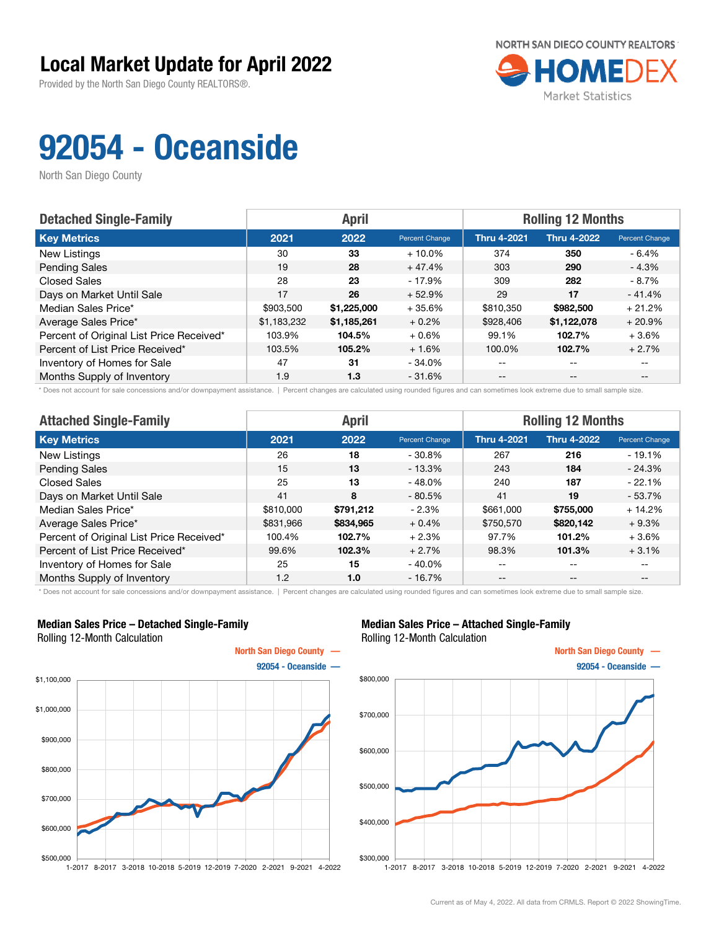Provided by the North San Diego County REALTORS®.



# 92054 - Oceanside

North San Diego County

| <b>Detached Single-Family</b>            |             | <b>April</b> |                | <b>Rolling 12 Months</b> |                    |                       |
|------------------------------------------|-------------|--------------|----------------|--------------------------|--------------------|-----------------------|
| <b>Key Metrics</b>                       | 2021        | 2022         | Percent Change | <b>Thru 4-2021</b>       | <b>Thru 4-2022</b> | <b>Percent Change</b> |
| New Listings                             | 30          | 33           | $+10.0\%$      | 374                      | 350                | $-6.4%$               |
| <b>Pending Sales</b>                     | 19          | 28           | $+47.4%$       | 303                      | 290                | $-4.3%$               |
| <b>Closed Sales</b>                      | 28          | 23           | $-17.9%$       | 309                      | 282                | $-8.7\%$              |
| Days on Market Until Sale                | 17          | 26           | $+52.9%$       | 29                       | 17                 | $-41.4%$              |
| Median Sales Price*                      | \$903,500   | \$1,225,000  | $+35.6%$       | \$810,350                | \$982,500          | $+21.2%$              |
| Average Sales Price*                     | \$1,183,232 | \$1,185,261  | $+0.2%$        | \$928,406                | \$1,122,078        | $+20.9%$              |
| Percent of Original List Price Received* | 103.9%      | 104.5%       | $+0.6%$        | 99.1%                    | 102.7%             | $+3.6%$               |
| Percent of List Price Received*          | 103.5%      | 105.2%       | $+1.6%$        | 100.0%                   | 102.7%             | $+2.7%$               |
| Inventory of Homes for Sale              | 47          | 31           | $-34.0%$       | --                       | --                 |                       |
| Months Supply of Inventory               | 1.9         | 1.3          | $-31.6%$       | $- -$                    | $- -$              | $- -$                 |

\* Does not account for sale concessions and/or downpayment assistance. | Percent changes are calculated using rounded figures and can sometimes look extreme due to small sample size.

| <b>Attached Single-Family</b>            | <b>April</b> |           |                | <b>Rolling 12 Months</b> |                    |                |  |
|------------------------------------------|--------------|-----------|----------------|--------------------------|--------------------|----------------|--|
| <b>Key Metrics</b>                       | 2021         | 2022      | Percent Change | <b>Thru 4-2021</b>       | <b>Thru 4-2022</b> | Percent Change |  |
| New Listings                             | 26           | 18        | $-30.8%$       | 267                      | 216                | $-19.1%$       |  |
| <b>Pending Sales</b>                     | 15           | 13        | $-13.3%$       | 243                      | 184                | $-24.3%$       |  |
| <b>Closed Sales</b>                      | 25           | 13        | $-48.0%$       | 240                      | 187                | $-22.1%$       |  |
| Days on Market Until Sale                | 41           | 8         | $-80.5%$       | 41                       | 19                 | $-53.7%$       |  |
| Median Sales Price*                      | \$810,000    | \$791,212 | $-2.3\%$       | \$661,000                | \$755,000          | $+14.2%$       |  |
| Average Sales Price*                     | \$831,966    | \$834,965 | $+0.4%$        | \$750,570                | \$820,142          | $+9.3%$        |  |
| Percent of Original List Price Received* | 100.4%       | 102.7%    | $+2.3%$        | 97.7%                    | 101.2%             | $+3.6%$        |  |
| Percent of List Price Received*          | 99.6%        | 102.3%    | $+2.7%$        | 98.3%                    | 101.3%             | $+3.1%$        |  |
| Inventory of Homes for Sale              | 25           | 15        | $-40.0\%$      | --                       | $- -$              | $- -$          |  |
| Months Supply of Inventory               | 1.2          | 1.0       | $-16.7%$       | $- -$                    | $\qquad \qquad -$  | $- -$          |  |

\* Does not account for sale concessions and/or downpayment assistance. | Percent changes are calculated using rounded figures and can sometimes look extreme due to small sample size.

### Median Sales Price – Detached Single-Family Rolling 12-Month Calculation



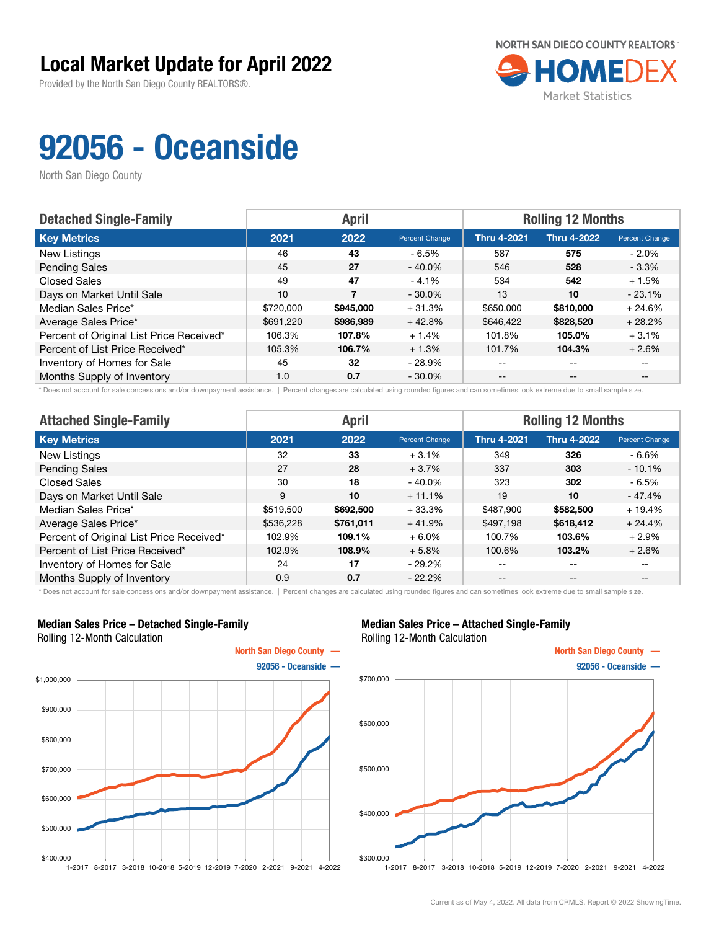Provided by the North San Diego County REALTORS®.



# 92056 - Oceanside

North San Diego County

| <b>Detached Single-Family</b>            | <b>Rolling 12 Months</b><br><b>April</b> |           |                |                    |                    |                       |
|------------------------------------------|------------------------------------------|-----------|----------------|--------------------|--------------------|-----------------------|
| <b>Key Metrics</b>                       | 2021                                     | 2022      | Percent Change | <b>Thru 4-2021</b> | <b>Thru 4-2022</b> | <b>Percent Change</b> |
| New Listings                             | 46                                       | 43        | - 6.5%         | 587                | 575                | $-2.0\%$              |
| <b>Pending Sales</b>                     | 45                                       | 27        | $-40.0\%$      | 546                | 528                | $-3.3%$               |
| <b>Closed Sales</b>                      | 49                                       | 47        | $-4.1%$        | 534                | 542                | $+1.5%$               |
| Days on Market Until Sale                | 10                                       | 7         | $-30.0\%$      | 13                 | 10                 | $-23.1%$              |
| Median Sales Price*                      | \$720,000                                | \$945,000 | $+31.3%$       | \$650,000          | \$810,000          | $+24.6%$              |
| Average Sales Price*                     | \$691,220                                | \$986,989 | $+42.8%$       | \$646.422          | \$828,520          | $+28.2%$              |
| Percent of Original List Price Received* | 106.3%                                   | 107.8%    | $+1.4%$        | 101.8%             | 105.0%             | $+3.1%$               |
| Percent of List Price Received*          | 105.3%                                   | 106.7%    | $+1.3%$        | 101.7%             | 104.3%             | $+2.6%$               |
| Inventory of Homes for Sale              | 45                                       | 32        | $-28.9\%$      | $- -$              | $-$                |                       |
| Months Supply of Inventory               | 1.0                                      | 0.7       | $-30.0\%$      | $- -$              | $- -$              |                       |

\* Does not account for sale concessions and/or downpayment assistance. | Percent changes are calculated using rounded figures and can sometimes look extreme due to small sample size.

| <b>Attached Single-Family</b>            | <b>April</b> |           |                | <b>Rolling 12 Months</b> |                    |                |  |
|------------------------------------------|--------------|-----------|----------------|--------------------------|--------------------|----------------|--|
| <b>Key Metrics</b>                       | 2021         | 2022      | Percent Change | <b>Thru 4-2021</b>       | <b>Thru 4-2022</b> | Percent Change |  |
| New Listings                             | 32           | 33        | $+3.1%$        | 349                      | 326                | - 6.6%         |  |
| <b>Pending Sales</b>                     | 27           | 28        | $+3.7%$        | 337                      | 303                | $-10.1%$       |  |
| Closed Sales                             | 30           | 18        | $-40.0\%$      | 323                      | 302                | - 6.5%         |  |
| Days on Market Until Sale                | 9            | 10        | $+11.1%$       | 19                       | 10                 | $-47.4%$       |  |
| Median Sales Price*                      | \$519,500    | \$692,500 | $+33.3%$       | \$487,900                | \$582,500          | $+19.4%$       |  |
| Average Sales Price*                     | \$536,228    | \$761,011 | $+41.9%$       | \$497,198                | \$618,412          | $+24.4%$       |  |
| Percent of Original List Price Received* | 102.9%       | 109.1%    | $+6.0%$        | 100.7%                   | 103.6%             | $+2.9%$        |  |
| Percent of List Price Received*          | 102.9%       | 108.9%    | $+5.8%$        | 100.6%                   | 103.2%             | $+2.6%$        |  |
| Inventory of Homes for Sale              | 24           | 17        | $-29.2%$       | --                       | $- -$              | $- -$          |  |
| Months Supply of Inventory               | 0.9          | 0.7       | $-22.2%$       | $- -$                    | $- -$              | $- -$          |  |

\* Does not account for sale concessions and/or downpayment assistance. | Percent changes are calculated using rounded figures and can sometimes look extreme due to small sample size.

#### Median Sales Price – Detached Single-Family Rolling 12-Month Calculation



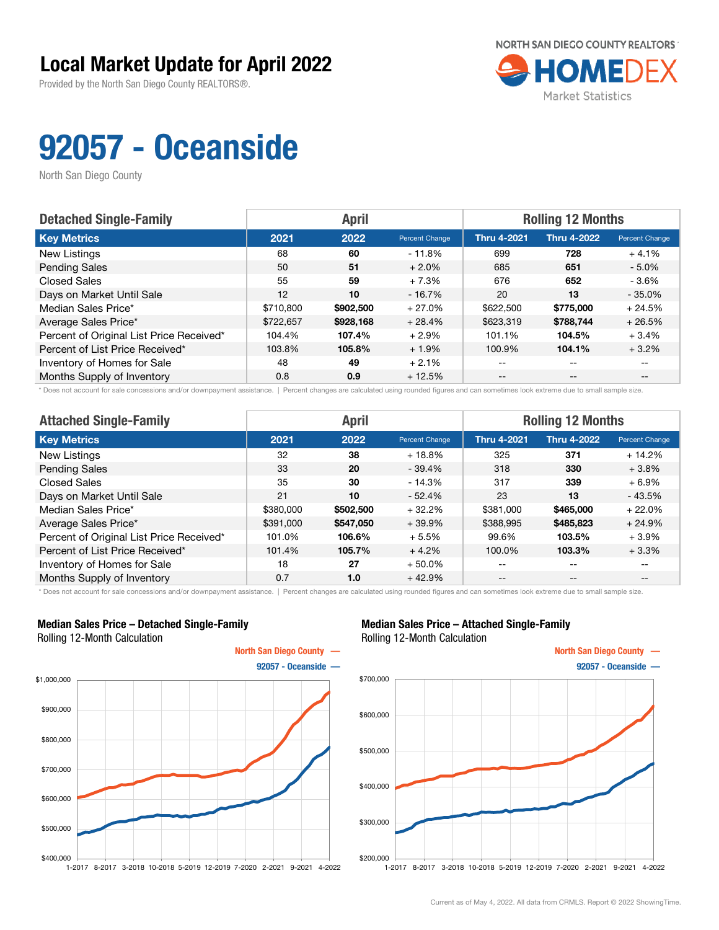Provided by the North San Diego County REALTORS®.



# 92057 - Oceanside

North San Diego County

| <b>Detached Single-Family</b>            |           | <b>April</b> |                | <b>Rolling 12 Months</b> |                    |                       |
|------------------------------------------|-----------|--------------|----------------|--------------------------|--------------------|-----------------------|
| <b>Key Metrics</b>                       | 2021      | 2022         | Percent Change | <b>Thru 4-2021</b>       | <b>Thru 4-2022</b> | <b>Percent Change</b> |
| New Listings                             | 68        | 60           | $-11.8%$       | 699                      | 728                | $+4.1%$               |
| <b>Pending Sales</b>                     | 50        | 51           | $+2.0%$        | 685                      | 651                | $-5.0\%$              |
| <b>Closed Sales</b>                      | 55        | 59           | $+7.3%$        | 676                      | 652                | $-3.6%$               |
| Days on Market Until Sale                | 12        | 10           | $-16.7%$       | 20                       | 13                 | $-35.0%$              |
| Median Sales Price*                      | \$710,800 | \$902,500    | $+27.0%$       | \$622,500                | \$775,000          | $+24.5%$              |
| Average Sales Price*                     | \$722,657 | \$928,168    | $+28.4%$       | \$623,319                | \$788.744          | $+26.5%$              |
| Percent of Original List Price Received* | 104.4%    | 107.4%       | $+2.9%$        | 101.1%                   | 104.5%             | $+3.4%$               |
| Percent of List Price Received*          | 103.8%    | 105.8%       | $+1.9%$        | 100.9%                   | 104.1%             | $+3.2%$               |
| Inventory of Homes for Sale              | 48        | 49           | $+2.1%$        | --                       | --                 |                       |
| Months Supply of Inventory               | 0.8       | 0.9          | $+12.5%$       | --                       | $- -$              | $- -$                 |

\* Does not account for sale concessions and/or downpayment assistance. | Percent changes are calculated using rounded figures and can sometimes look extreme due to small sample size.

| <b>Attached Single-Family</b>            | <b>April</b> |           |                | <b>Rolling 12 Months</b> |                    |                |  |
|------------------------------------------|--------------|-----------|----------------|--------------------------|--------------------|----------------|--|
| <b>Key Metrics</b>                       | 2021         | 2022      | Percent Change | <b>Thru 4-2021</b>       | <b>Thru 4-2022</b> | Percent Change |  |
| New Listings                             | 32           | 38        | $+18.8%$       | 325                      | 371                | $+14.2%$       |  |
| <b>Pending Sales</b>                     | 33           | 20        | $-39.4%$       | 318                      | 330                | $+3.8%$        |  |
| <b>Closed Sales</b>                      | 35           | 30        | $-14.3%$       | 317                      | 339                | $+6.9%$        |  |
| Days on Market Until Sale                | 21           | 10        | $-52.4%$       | 23                       | 13                 | $-43.5%$       |  |
| Median Sales Price*                      | \$380,000    | \$502,500 | $+32.2%$       | \$381,000                | \$465,000          | $+22.0%$       |  |
| Average Sales Price*                     | \$391,000    | \$547,050 | $+39.9%$       | \$388,995                | \$485,823          | $+24.9%$       |  |
| Percent of Original List Price Received* | 101.0%       | 106.6%    | $+5.5%$        | 99.6%                    | 103.5%             | $+3.9\%$       |  |
| Percent of List Price Received*          | 101.4%       | 105.7%    | $+4.2%$        | 100.0%                   | 103.3%             | $+3.3%$        |  |
| Inventory of Homes for Sale              | 18           | 27        | $+50.0\%$      | --                       | $- -$              | $- -$          |  |
| Months Supply of Inventory               | 0.7          | 1.0       | $+42.9%$       | $- -$                    | $\qquad \qquad -$  | --             |  |

\* Does not account for sale concessions and/or downpayment assistance. | Percent changes are calculated using rounded figures and can sometimes look extreme due to small sample size.

#### Median Sales Price – Detached Single-Family Rolling 12-Month Calculation



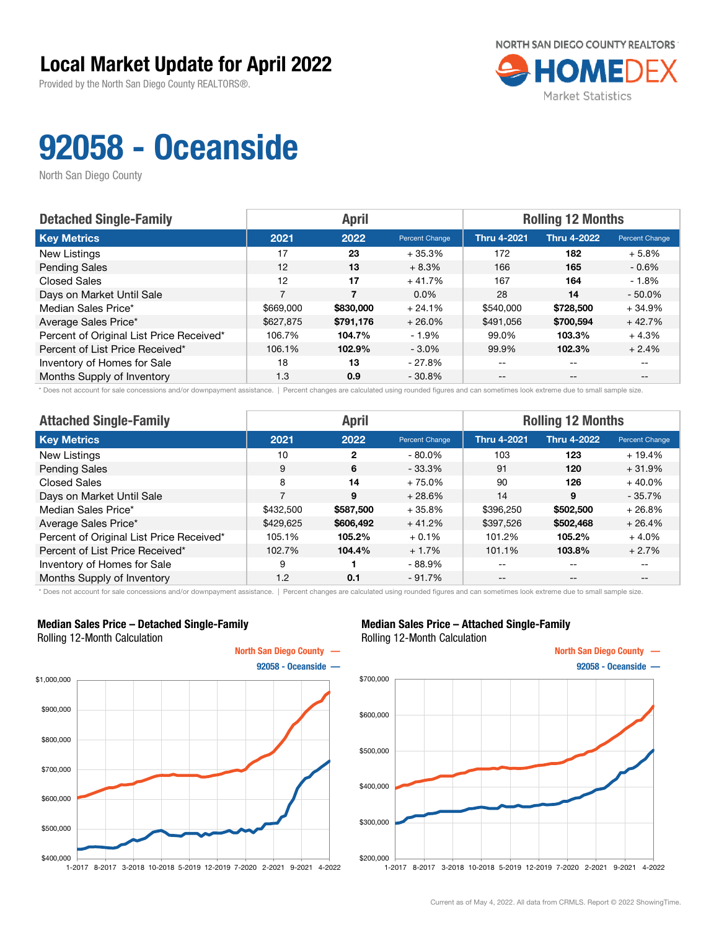Provided by the North San Diego County REALTORS®.



# 92058 - Oceanside

North San Diego County

| <b>Detached Single-Family</b>            |           | <b>April</b> |                | <b>Rolling 12 Months</b> |                    |                       |
|------------------------------------------|-----------|--------------|----------------|--------------------------|--------------------|-----------------------|
| <b>Key Metrics</b>                       | 2021      | 2022         | Percent Change | <b>Thru 4-2021</b>       | <b>Thru 4-2022</b> | <b>Percent Change</b> |
| New Listings                             | 17        | 23           | $+35.3%$       | 172                      | 182                | $+5.8%$               |
| <b>Pending Sales</b>                     | 12        | 13           | $+8.3%$        | 166                      | 165                | $-0.6\%$              |
| <b>Closed Sales</b>                      | 12        | 17           | $+41.7%$       | 167                      | 164                | $-1.8%$               |
| Days on Market Until Sale                | 7         | 7            | $0.0\%$        | 28                       | 14                 | $-50.0\%$             |
| Median Sales Price*                      | \$669,000 | \$830,000    | $+24.1%$       | \$540,000                | \$728,500          | $+34.9%$              |
| Average Sales Price*                     | \$627,875 | \$791,176    | $+26.0%$       | \$491,056                | \$700.594          | $+42.7%$              |
| Percent of Original List Price Received* | 106.7%    | 104.7%       | $-1.9\%$       | 99.0%                    | 103.3%             | $+4.3%$               |
| Percent of List Price Received*          | 106.1%    | 102.9%       | $-3.0\%$       | 99.9%                    | 102.3%             | $+2.4%$               |
| Inventory of Homes for Sale              | 18        | 13           | - 27.8%        | --                       | $\qquad \qquad -$  |                       |
| Months Supply of Inventory               | 1.3       | 0.9          | $-30.8%$       | $- -$                    | $\qquad \qquad -$  |                       |

\* Does not account for sale concessions and/or downpayment assistance. | Percent changes are calculated using rounded figures and can sometimes look extreme due to small sample size.

| <b>Attached Single-Family</b>            | <b>April</b> |           |                | <b>Rolling 12 Months</b> |                    |                |  |
|------------------------------------------|--------------|-----------|----------------|--------------------------|--------------------|----------------|--|
| <b>Key Metrics</b>                       | 2021         | 2022      | Percent Change | <b>Thru 4-2021</b>       | <b>Thru 4-2022</b> | Percent Change |  |
| New Listings                             | 10           | 2         | $-80.0\%$      | 103                      | 123                | $+19.4%$       |  |
| <b>Pending Sales</b>                     | 9            | 6         | $-33.3%$       | 91                       | 120                | $+31.9%$       |  |
| <b>Closed Sales</b>                      | 8            | 14        | $+75.0%$       | 90                       | 126                | $+40.0%$       |  |
| Days on Market Until Sale                | 7            | 9         | $+28.6%$       | 14                       | 9                  | $-35.7%$       |  |
| Median Sales Price*                      | \$432,500    | \$587,500 | $+35.8%$       | \$396,250                | \$502,500          | $+26.8%$       |  |
| Average Sales Price*                     | \$429,625    | \$606,492 | $+41.2%$       | \$397,526                | \$502,468          | $+26.4%$       |  |
| Percent of Original List Price Received* | 105.1%       | 105.2%    | $+0.1%$        | 101.2%                   | 105.2%             | $+4.0%$        |  |
| Percent of List Price Received*          | 102.7%       | 104.4%    | $+1.7%$        | 101.1%                   | 103.8%             | $+2.7%$        |  |
| Inventory of Homes for Sale              | 9            |           | $-88.9%$       | --                       | $- -$              | $- -$          |  |
| Months Supply of Inventory               | 1.2          | 0.1       | $-91.7%$       | $- -$                    | $\qquad \qquad -$  | $- -$          |  |

\* Does not account for sale concessions and/or downpayment assistance. | Percent changes are calculated using rounded figures and can sometimes look extreme due to small sample size.

### Median Sales Price – Detached Single-Family Rolling 12-Month Calculation